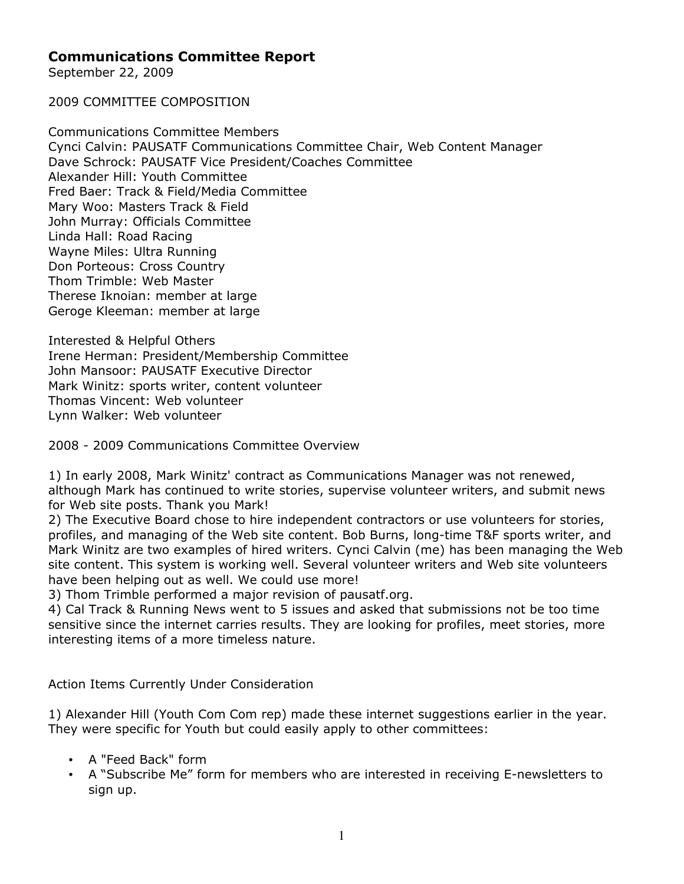## **Communications Committee Report**

September 22, 2009

2009 COMMITTEE COMPOSITION

Communications Committee Members Cynci Calvin: PAUSATF Communications Committee Chair, Web Content Manager Dave Schrock: PAUSATF Vice President/Coaches Committee Alexander Hill: Youth Committee Fred Baer: Track & Field/Media Committee Mary Woo: Masters Track & Field John Murray: Officials Committee Linda Hall: Road Racing Wayne Miles: Ultra Running Don Porteous: Cross Country Thom Trimble: Web Master Therese Iknoian: member at large Geroge Kleeman: member at large

Interested & Helpful Others Irene Herman: President/Membership Committee John Mansoor: PAUSATF Executive Director Mark Winitz: sports writer, content volunteer Thomas Vincent: Web volunteer Lynn Walker: Web volunteer

2008 - 2009 Communications Committee Overview

1) In early 2008, Mark Winitz' contract as Communications Manager was not renewed, although Mark has continued to write stories, supervise volunteer writers, and submit news for Web site posts. Thank you Mark!

2) The Executive Board chose to hire independent contractors or use volunteers for stories, profiles, and managing of the Web site content. Bob Burns, long-time T&F sports writer, and Mark Winitz are two examples of hired writers. Cynci Calvin (me) has been managing the Web site content. This system is working well. Several volunteer writers and Web site volunteers have been helping out as well. We could use more!

3) Thom Trimble performed a major revision of pausatf.org.

4) Cal Track & Running News went to 5 issues and asked that submissions not be too time sensitive since the internet carries results. They are looking for profiles, meet stories, more interesting items of a more timeless nature.

Action Items Currently Under Consideration

1) Alexander Hill (Youth Com Com rep) made these internet suggestions earlier in the year. They were specific for Youth but could easily apply to other committees:

- A "Feed Back" form
- A "Subscribe Me" form for members who are interested in receiving E-newsletters to sign up.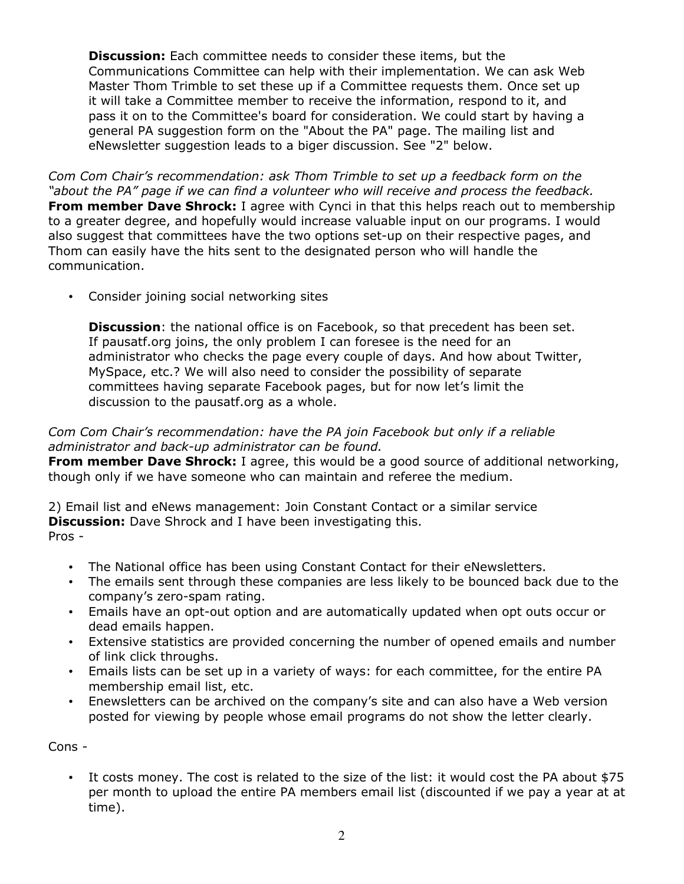**Discussion:** Each committee needs to consider these items, but the Communications Committee can help with their implementation. We can ask Web Master Thom Trimble to set these up if a Committee requests them. Once set up it will take a Committee member to receive the information, respond to it, and pass it on to the Committee's board for consideration. We could start by having a general PA suggestion form on the "About the PA" page. The mailing list and eNewsletter suggestion leads to a biger discussion. See "2" below.

*Com Com Chair's recommendation: ask Thom Trimble to set up a feedback form on the "about the PA" page if we can find a volunteer who will receive and process the feedback.* **From member Dave Shrock:** I agree with Cynci in that this helps reach out to membership to a greater degree, and hopefully would increase valuable input on our programs. I would also suggest that committees have the two options set-up on their respective pages, and Thom can easily have the hits sent to the designated person who will handle the communication.

• Consider joining social networking sites

**Discussion**: the national office is on Facebook, so that precedent has been set. If pausatf.org joins, the only problem I can foresee is the need for an administrator who checks the page every couple of days. And how about Twitter, MySpace, etc.? We will also need to consider the possibility of separate committees having separate Facebook pages, but for now let's limit the discussion to the pausatf.org as a whole.

## *Com Com Chair's recommendation: have the PA join Facebook but only if a reliable administrator and back-up administrator can be found.*

**From member Dave Shrock:** I agree, this would be a good source of additional networking, though only if we have someone who can maintain and referee the medium.

2) Email list and eNews management: Join Constant Contact or a similar service **Discussion:** Dave Shrock and I have been investigating this. Pros -

- The National office has been using Constant Contact for their eNewsletters.
- The emails sent through these companies are less likely to be bounced back due to the company's zero-spam rating.
- Emails have an opt-out option and are automatically updated when opt outs occur or dead emails happen.
- Extensive statistics are provided concerning the number of opened emails and number of link click throughs.
- Emails lists can be set up in a variety of ways: for each committee, for the entire PA membership email list, etc.
- Enewsletters can be archived on the company's site and can also have a Web version posted for viewing by people whose email programs do not show the letter clearly.

Cons -

• It costs money. The cost is related to the size of the list: it would cost the PA about \$75 per month to upload the entire PA members email list (discounted if we pay a year at at time).